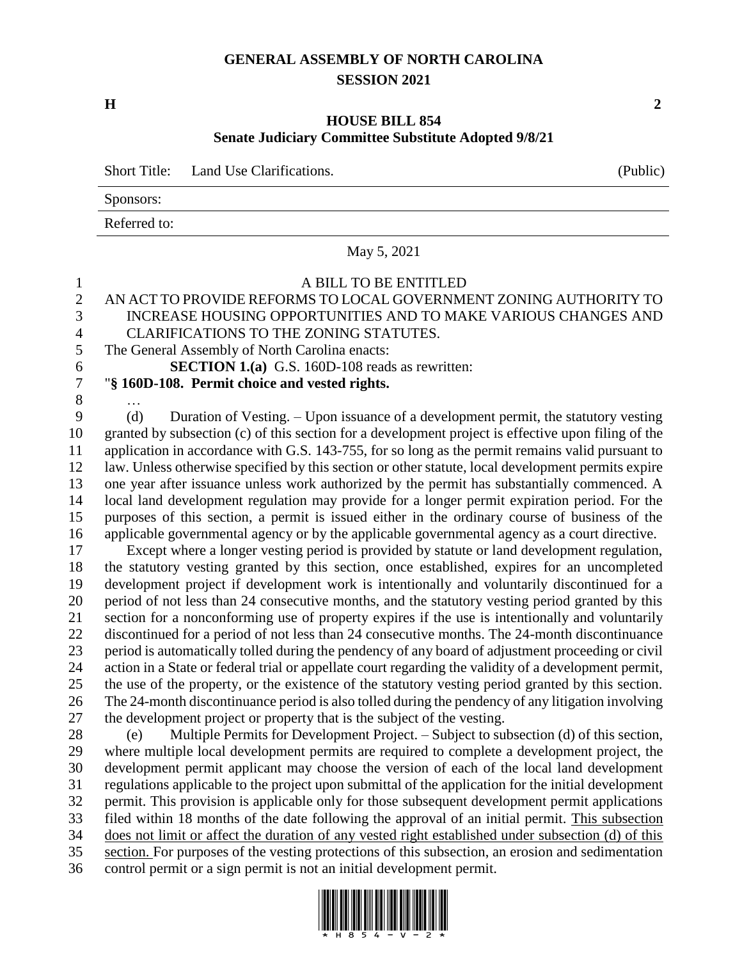## **GENERAL ASSEMBLY OF NORTH CAROLINA SESSION 2021**

**H 2**

## **HOUSE BILL 854 Senate Judiciary Committee Substitute Adopted 9/8/21**

Short Title: Land Use Clarifications. (Public)

Sponsors:

Referred to:

## May 5, 2021

## A BILL TO BE ENTITLED 2 AN ACT TO PROVIDE REFORMS TO LOCAL GOVERNMENT ZONING AUTHORITY TO<br>3 INCREASE HOUSING OPPORTUNITIES AND TO MAKE VARIOUS CHANGES AND INCREASE HOUSING OPPORTUNITIES AND TO MAKE VARIOUS CHANGES AND CLARIFICATIONS TO THE ZONING STATUTES. The General Assembly of North Carolina enacts: **SECTION 1.(a)** G.S. 160D-108 reads as rewritten: "**§ 160D-108. Permit choice and vested rights.** … (d) Duration of Vesting. – Upon issuance of a development permit, the statutory vesting granted by subsection (c) of this section for a development project is effective upon filing of the application in accordance with G.S. 143-755, for so long as the permit remains valid pursuant to law. Unless otherwise specified by this section or other statute, local development permits expire one year after issuance unless work authorized by the permit has substantially commenced. A local land development regulation may provide for a longer permit expiration period. For the purposes of this section, a permit is issued either in the ordinary course of business of the applicable governmental agency or by the applicable governmental agency as a court directive. Except where a longer vesting period is provided by statute or land development regulation, the statutory vesting granted by this section, once established, expires for an uncompleted development project if development work is intentionally and voluntarily discontinued for a period of not less than 24 consecutive months, and the statutory vesting period granted by this section for a nonconforming use of property expires if the use is intentionally and voluntarily discontinued for a period of not less than 24 consecutive months. The 24-month discontinuance period is automatically tolled during the pendency of any board of adjustment proceeding or civil action in a State or federal trial or appellate court regarding the validity of a development permit, the use of the property, or the existence of the statutory vesting period granted by this section. The 24-month discontinuance period is also tolled during the pendency of any litigation involving the development project or property that is the subject of the vesting. (e) Multiple Permits for Development Project. – Subject to subsection (d) of this section, where multiple local development permits are required to complete a development project, the development permit applicant may choose the version of each of the local land development regulations applicable to the project upon submittal of the application for the initial development permit. This provision is applicable only for those subsequent development permit applications filed within 18 months of the date following the approval of an initial permit. This subsection does not limit or affect the duration of any vested right established under subsection (d) of this section. For purposes of the vesting protections of this subsection, an erosion and sedimentation

control permit or a sign permit is not an initial development permit.

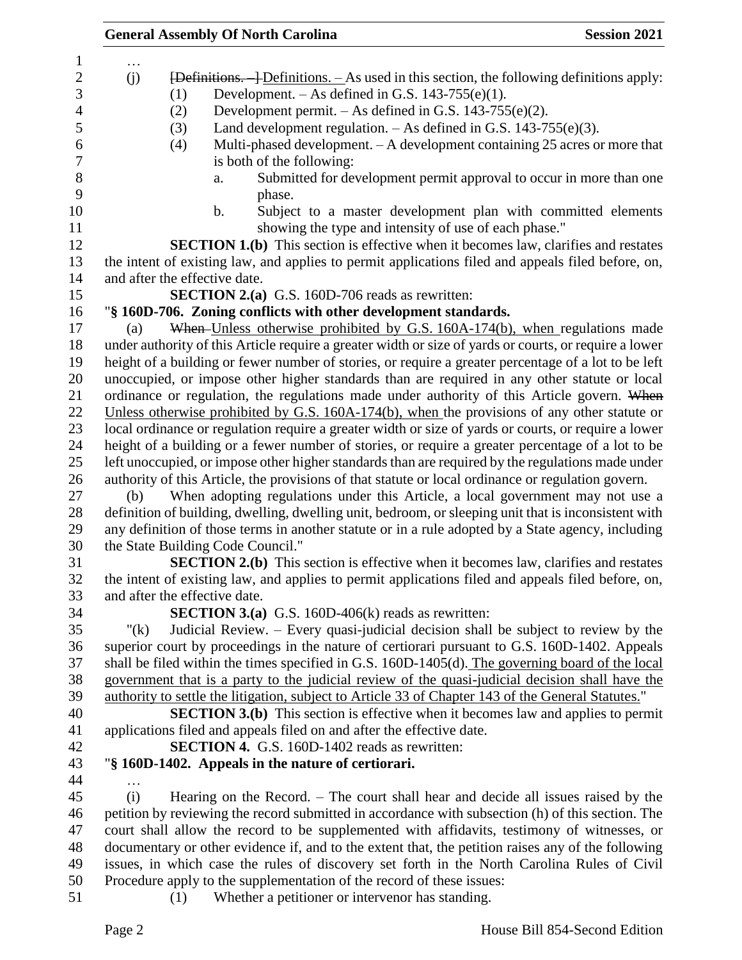|         |     | <b>General Assembly Of North Carolina</b>                                                              | <b>Session 2021</b> |
|---------|-----|--------------------------------------------------------------------------------------------------------|---------------------|
|         |     |                                                                                                        |                     |
| (j)     |     | $\overline{[Definitions. -] Definitions. -}$ As used in this section, the following definitions apply: |                     |
|         | (1) | Development. $-$ As defined in G.S. 143-755(e)(1).                                                     |                     |
|         | (2) | Development permit. $-$ As defined in G.S. 143-755(e)(2).                                              |                     |
|         | (3) | Land development regulation. $-$ As defined in G.S. 143-755(e)(3).                                     |                     |
|         | (4) | Multi-phased development. - A development containing 25 acres or more that                             |                     |
|         |     | is both of the following:                                                                              |                     |
|         |     | Submitted for development permit approval to occur in more than one<br>a.                              |                     |
|         |     | phase.                                                                                                 |                     |
|         |     | Subject to a master development plan with committed elements<br>$\mathbf b$ .                          |                     |
|         |     | showing the type and intensity of use of each phase."                                                  |                     |
|         |     | <b>SECTION 1.(b)</b> This section is effective when it becomes law, clarifies and restates             |                     |
|         |     | the intent of existing law, and applies to permit applications filed and appeals filed before, on,     |                     |
|         |     | and after the effective date.                                                                          |                     |
|         |     | <b>SECTION 2.(a)</b> G.S. 160D-706 reads as rewritten:                                                 |                     |
|         |     | "§ 160D-706. Zoning conflicts with other development standards.                                        |                     |
| (a)     |     | When-Unless otherwise prohibited by G.S. 160A-174(b), when regulations made                            |                     |
|         |     | under authority of this Article require a greater width or size of yards or courts, or require a lower |                     |
|         |     | height of a building or fewer number of stories, or require a greater percentage of a lot to be left   |                     |
|         |     | unoccupied, or impose other higher standards than are required in any other statute or local           |                     |
|         |     | ordinance or regulation, the regulations made under authority of this Article govern. When             |                     |
|         |     | Unless otherwise prohibited by G.S. $160A-174(b)$ , when the provisions of any other statute or        |                     |
|         |     | local ordinance or regulation require a greater width or size of yards or courts, or require a lower   |                     |
|         |     | height of a building or a fewer number of stories, or require a greater percentage of a lot to be      |                     |
|         |     | left unoccupied, or impose other higher standards than are required by the regulations made under      |                     |
|         |     | authority of this Article, the provisions of that statute or local ordinance or regulation govern.     |                     |
| (b)     |     | When adopting regulations under this Article, a local government may not use a                         |                     |
|         |     | definition of building, dwelling, dwelling unit, bedroom, or sleeping unit that is inconsistent with   |                     |
|         |     | any definition of those terms in another statute or in a rule adopted by a State agency, including     |                     |
|         |     | the State Building Code Council."                                                                      |                     |
|         |     | <b>SECTION 2.(b)</b> This section is effective when it becomes law, clarifies and restates             |                     |
|         |     | the intent of existing law, and applies to permit applications filed and appeals filed before, on,     |                     |
|         |     | and after the effective date.                                                                          |                     |
|         |     | <b>SECTION 3.(a)</b> G.S. 160D-406(k) reads as rewritten:                                              |                     |
| " $(k)$ |     | Judicial Review. – Every quasi-judicial decision shall be subject to review by the                     |                     |
|         |     | superior court by proceedings in the nature of certiorari pursuant to G.S. 160D-1402. Appeals          |                     |
|         |     | shall be filed within the times specified in G.S. 160D-1405(d). The governing board of the local       |                     |
|         |     | government that is a party to the judicial review of the quasi-judicial decision shall have the        |                     |
|         |     | authority to settle the litigation, subject to Article 33 of Chapter 143 of the General Statutes."     |                     |
|         |     | <b>SECTION 3.(b)</b> This section is effective when it becomes law and applies to permit               |                     |
|         |     | applications filed and appeals filed on and after the effective date.                                  |                     |
|         |     | SECTION 4. G.S. 160D-1402 reads as rewritten:                                                          |                     |
|         |     | "§ 160D-1402. Appeals in the nature of certiorari.                                                     |                     |
|         |     |                                                                                                        |                     |
| (i)     |     | Hearing on the Record. – The court shall hear and decide all issues raised by the                      |                     |
|         |     | petition by reviewing the record submitted in accordance with subsection (h) of this section. The      |                     |
|         |     | court shall allow the record to be supplemented with affidavits, testimony of witnesses, or            |                     |
|         |     | documentary or other evidence if, and to the extent that, the petition raises any of the following     |                     |
|         |     | issues, in which case the rules of discovery set forth in the North Carolina Rules of Civil            |                     |
|         |     | Procedure apply to the supplementation of the record of these issues:                                  |                     |
|         | (1) | Whether a petitioner or intervenor has standing.                                                       |                     |